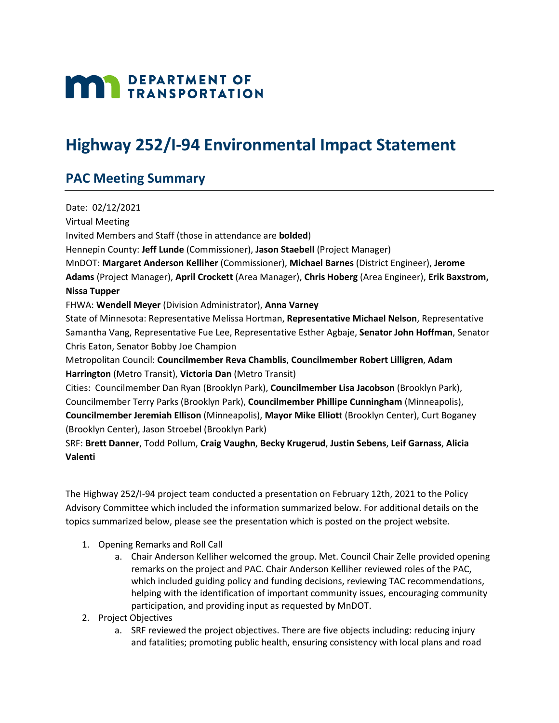## **MAN** DEPARTMENT OF

## **Highway 252/I-94 Environmental Impact Statement**

## **PAC Meeting Summary**

Date: 02/12/2021 Virtual Meeting Invited Members and Staff (those in attendance are **bolded**) Hennepin County: **Jeff Lunde** (Commissioner), **Jason Staebell** (Project Manager) MnDOT: **Margaret Anderson Kelliher** (Commissioner), **Michael Barnes** (District Engineer), **Jerome Adams** (Project Manager), **April Crockett** (Area Manager), **Chris Hoberg** (Area Engineer), **Erik Baxstrom, Nissa Tupper** FHWA: **Wendell Meyer** (Division Administrator), **Anna Varney** State of Minnesota: Representative Melissa Hortman, **Representative Michael Nelson**, Representative Samantha Vang, Representative Fue Lee, Representative Esther Agbaje, **Senator John Hoffman**, Senator Chris Eaton, Senator Bobby Joe Champion Metropolitan Council: **Councilmember Reva Chamblis**, **Councilmember Robert Lilligren**, **Adam Harrington** (Metro Transit), **Victoria Dan** (Metro Transit) Cities: Councilmember Dan Ryan (Brooklyn Park), **Councilmember Lisa Jacobson** (Brooklyn Park), Councilmember Terry Parks (Brooklyn Park), **Councilmember Phillipe Cunningham** (Minneapolis), **Councilmember Jeremiah Ellison** (Minneapolis), **Mayor Mike Elliot**t (Brooklyn Center), Curt Boganey (Brooklyn Center), Jason Stroebel (Brooklyn Park) SRF: **Brett Danner**, Todd Pollum, **Craig Vaughn**, **Becky Krugerud**, **Justin Sebens**, **Leif Garnass**, **Alicia Valenti**

The Highway 252/I-94 project team conducted a presentation on February 12th, 2021 to the Policy Advisory Committee which included the information summarized below. For additional details on the topics summarized below, please see the presentation which is posted on the project website.

- 1. Opening Remarks and Roll Call
	- a. Chair Anderson Kelliher welcomed the group. Met. Council Chair Zelle provided opening remarks on the project and PAC. Chair Anderson Kelliher reviewed roles of the PAC, which included guiding policy and funding decisions, reviewing TAC recommendations, helping with the identification of important community issues, encouraging community participation, and providing input as requested by MnDOT.
- 2. Project Objectives
	- a. SRF reviewed the project objectives. There are five objects including: reducing injury and fatalities; promoting public health, ensuring consistency with local plans and road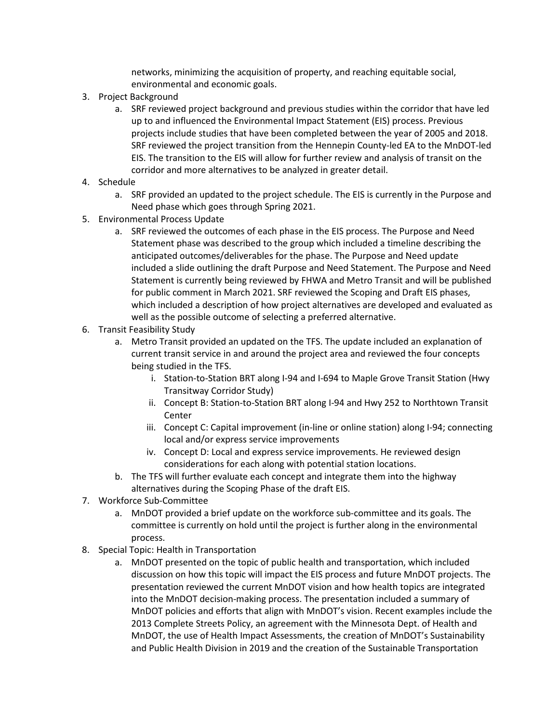networks, minimizing the acquisition of property, and reaching equitable social, environmental and economic goals.

- 3. Project Background
	- a. SRF reviewed project background and previous studies within the corridor that have led up to and influenced the Environmental Impact Statement (EIS) process. Previous projects include studies that have been completed between the year of 2005 and 2018. SRF reviewed the project transition from the Hennepin County-led EA to the MnDOT-led EIS. The transition to the EIS will allow for further review and analysis of transit on the corridor and more alternatives to be analyzed in greater detail.
- 4. Schedule
	- a. SRF provided an updated to the project schedule. The EIS is currently in the Purpose and Need phase which goes through Spring 2021.
- 5. Environmental Process Update
	- a. SRF reviewed the outcomes of each phase in the EIS process. The Purpose and Need Statement phase was described to the group which included a timeline describing the anticipated outcomes/deliverables for the phase. The Purpose and Need update included a slide outlining the draft Purpose and Need Statement. The Purpose and Need Statement is currently being reviewed by FHWA and Metro Transit and will be published for public comment in March 2021. SRF reviewed the Scoping and Draft EIS phases, which included a description of how project alternatives are developed and evaluated as well as the possible outcome of selecting a preferred alternative.
- 6. Transit Feasibility Study
	- a. Metro Transit provided an updated on the TFS. The update included an explanation of current transit service in and around the project area and reviewed the four concepts being studied in the TFS.
		- i. Station-to-Station BRT along I-94 and I-694 to Maple Grove Transit Station (Hwy Transitway Corridor Study)
		- ii. Concept B: Station-to-Station BRT along I-94 and Hwy 252 to Northtown Transit Center
		- iii. Concept C: Capital improvement (in-line or online station) along I-94; connecting local and/or express service improvements
		- iv. Concept D: Local and express service improvements. He reviewed design considerations for each along with potential station locations.
	- b. The TFS will further evaluate each concept and integrate them into the highway alternatives during the Scoping Phase of the draft EIS.
- 7. Workforce Sub-Committee
	- a. MnDOT provided a brief update on the workforce sub-committee and its goals. The committee is currently on hold until the project is further along in the environmental process.
- 8. Special Topic: Health in Transportation
	- a. MnDOT presented on the topic of public health and transportation, which included discussion on how this topic will impact the EIS process and future MnDOT projects. The presentation reviewed the current MnDOT vision and how health topics are integrated into the MnDOT decision-making process. The presentation included a summary of MnDOT policies and efforts that align with MnDOT's vision. Recent examples include the 2013 Complete Streets Policy, an agreement with the Minnesota Dept. of Health and MnDOT, the use of Health Impact Assessments, the creation of MnDOT's Sustainability and Public Health Division in 2019 and the creation of the Sustainable Transportation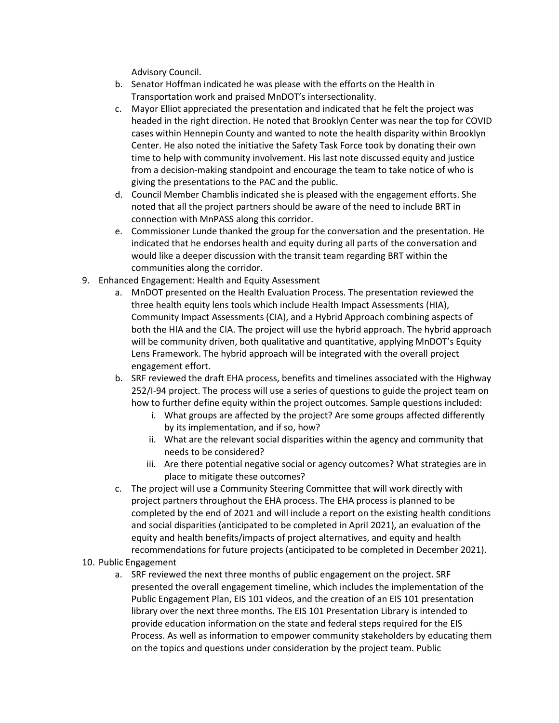Advisory Council.

- b. Senator Hoffman indicated he was please with the efforts on the Health in Transportation work and praised MnDOT's intersectionality.
- c. Mayor Elliot appreciated the presentation and indicated that he felt the project was headed in the right direction. He noted that Brooklyn Center was near the top for COVID cases within Hennepin County and wanted to note the health disparity within Brooklyn Center. He also noted the initiative the Safety Task Force took by donating their own time to help with community involvement. His last note discussed equity and justice from a decision-making standpoint and encourage the team to take notice of who is giving the presentations to the PAC and the public.
- d. Council Member Chamblis indicated she is pleased with the engagement efforts. She noted that all the project partners should be aware of the need to include BRT in connection with MnPASS along this corridor.
- e. Commissioner Lunde thanked the group for the conversation and the presentation. He indicated that he endorses health and equity during all parts of the conversation and would like a deeper discussion with the transit team regarding BRT within the communities along the corridor.
- 9. Enhanced Engagement: Health and Equity Assessment
	- a. MnDOT presented on the Health Evaluation Process. The presentation reviewed the three health equity lens tools which include Health Impact Assessments (HIA), Community Impact Assessments (CIA), and a Hybrid Approach combining aspects of both the HIA and the CIA. The project will use the hybrid approach. The hybrid approach will be community driven, both qualitative and quantitative, applying MnDOT's Equity Lens Framework. The hybrid approach will be integrated with the overall project engagement effort.
	- b. SRF reviewed the draft EHA process, benefits and timelines associated with the Highway 252/I-94 project. The process will use a series of questions to guide the project team on how to further define equity within the project outcomes. Sample questions included:
		- i. What groups are affected by the project? Are some groups affected differently by its implementation, and if so, how?
		- ii. What are the relevant social disparities within the agency and community that needs to be considered?
		- iii. Are there potential negative social or agency outcomes? What strategies are in place to mitigate these outcomes?
	- c. The project will use a Community Steering Committee that will work directly with project partners throughout the EHA process. The EHA process is planned to be completed by the end of 2021 and will include a report on the existing health conditions and social disparities (anticipated to be completed in April 2021), an evaluation of the equity and health benefits/impacts of project alternatives, and equity and health recommendations for future projects (anticipated to be completed in December 2021).

## 10. Public Engagement

a. SRF reviewed the next three months of public engagement on the project. SRF presented the overall engagement timeline, which includes the implementation of the Public Engagement Plan, EIS 101 videos, and the creation of an EIS 101 presentation library over the next three months. The EIS 101 Presentation Library is intended to provide education information on the state and federal steps required for the EIS Process. As well as information to empower community stakeholders by educating them on the topics and questions under consideration by the project team. Public